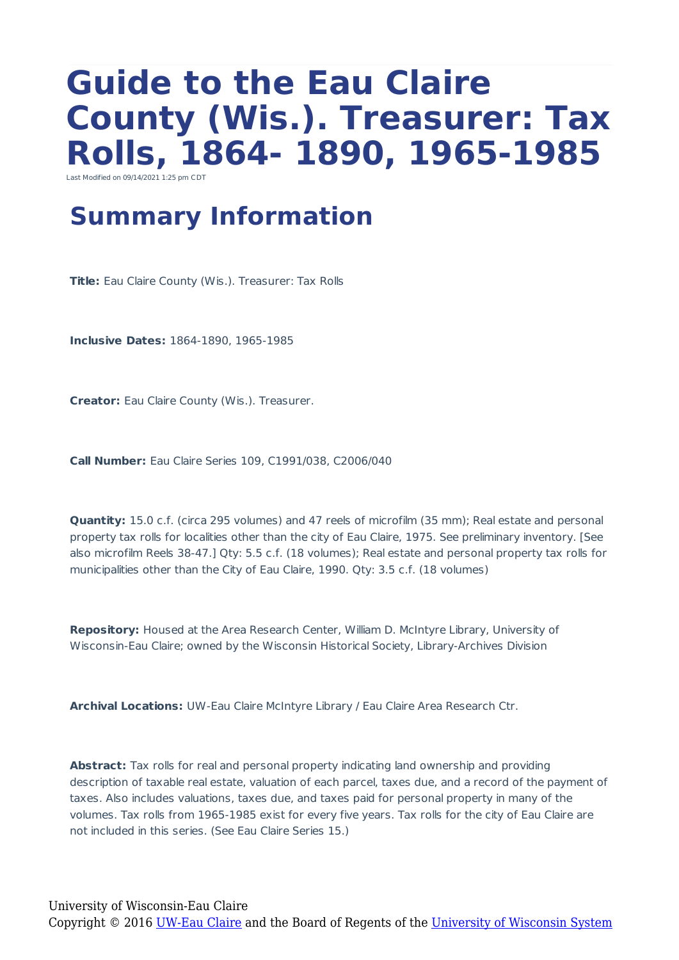# **Guide to the Eau Claire County (Wis.). Treasurer: Tax Rolls, 1864- 1890, 1965-1985**

Last Modified on 09/14/2021 1:25 pm CI

### **Summary Information**

**Title:** Eau Claire County (Wis.). Treasurer: Tax Rolls

**Inclusive Dates:** 1864-1890, 1965-1985

**Creator:** Eau Claire County (Wis.). Treasurer.

**Call Number:** Eau Claire Series 109, C1991/038, C2006/040

**Quantity:** 15.0 c.f. (circa 295 volumes) and 47 reels of microfilm (35 mm); Real estate and personal property tax rolls for localities other than the city of Eau Claire, 1975. See preliminary inventory. [See also microfilm Reels 38-47.] Qty: 5.5 c.f. (18 volumes); Real estate and personal property tax rolls for municipalities other than the City of Eau Claire, 1990. Qty: 3.5 c.f. (18 volumes)

**Repository:** Housed at the Area Research Center, William D. McIntyre Library, University of Wisconsin-Eau Claire; owned by the Wisconsin Historical Society, Library-Archives Division

**Archival Locations:** UW-Eau Claire McIntyre Library / Eau Claire Area Research Ctr.

**Abstract:** Tax rolls for real and personal property indicating land ownership and providing description of taxable real estate, valuation of each parcel, taxes due, and a record of the payment of taxes. Also includes valuations, taxes due, and taxes paid for personal property in many of the volumes. Tax rolls from 1965-1985 exist for every five years. Tax rolls for the city of Eau Claire are not included in this series. (See Eau Claire Series 15.)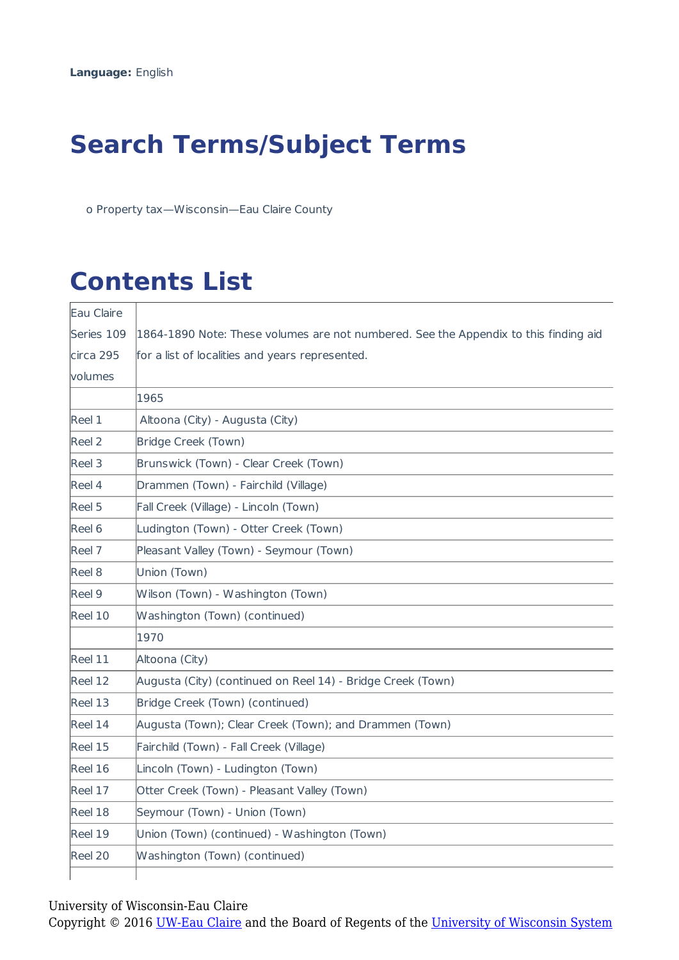## **Search Terms/Subject Terms**

o Property tax—Wisconsin—Eau Claire County

# **Contents List**

| Eau Claire        |                                                                                      |  |
|-------------------|--------------------------------------------------------------------------------------|--|
| Series 109        | 1864-1890 Note: These volumes are not numbered. See the Appendix to this finding aid |  |
| circa 295         | for a list of localities and years represented.                                      |  |
| <b>volumes</b>    |                                                                                      |  |
|                   | 1965                                                                                 |  |
| Reel 1            | Altoona (City) - Augusta (City)                                                      |  |
| Reel <sub>2</sub> | Bridge Creek (Town)                                                                  |  |
| Reel 3            | Brunswick (Town) - Clear Creek (Town)                                                |  |
| Reel 4            | Drammen (Town) - Fairchild (Village)                                                 |  |
| Reel 5            | Fall Creek (Village) - Lincoln (Town)                                                |  |
| Reel 6            | Ludington (Town) - Otter Creek (Town)                                                |  |
| Reel 7            | Pleasant Valley (Town) - Seymour (Town)                                              |  |
| Reel 8            | Union (Town)                                                                         |  |
| Reel 9            | Wilson (Town) - Washington (Town)                                                    |  |
| Reel 10           | Washington (Town) (continued)                                                        |  |
|                   | 1970                                                                                 |  |
| Reel 11           | Altoona (City)                                                                       |  |
| Reel 12           | Augusta (City) (continued on Reel 14) - Bridge Creek (Town)                          |  |
| Reel 13           | Bridge Creek (Town) (continued)                                                      |  |
| Reel 14           | Augusta (Town); Clear Creek (Town); and Drammen (Town)                               |  |
| Reel 15           | Fairchild (Town) - Fall Creek (Village)                                              |  |
| Reel 16           | Lincoln (Town) - Ludington (Town)                                                    |  |
| Reel 17           | Otter Creek (Town) - Pleasant Valley (Town)                                          |  |
| Reel 18           | Seymour (Town) - Union (Town)                                                        |  |
| Reel 19           | Union (Town) (continued) - Washington (Town)                                         |  |
| Reel 20           | Washington (Town) (continued)                                                        |  |
|                   |                                                                                      |  |

#### University of Wisconsin-Eau Claire

Copyright © 2016 <u>UW-Eau Claire</u> and the Board of Regents of the [University of Wisconsin System](http://www.uwsa.edu/)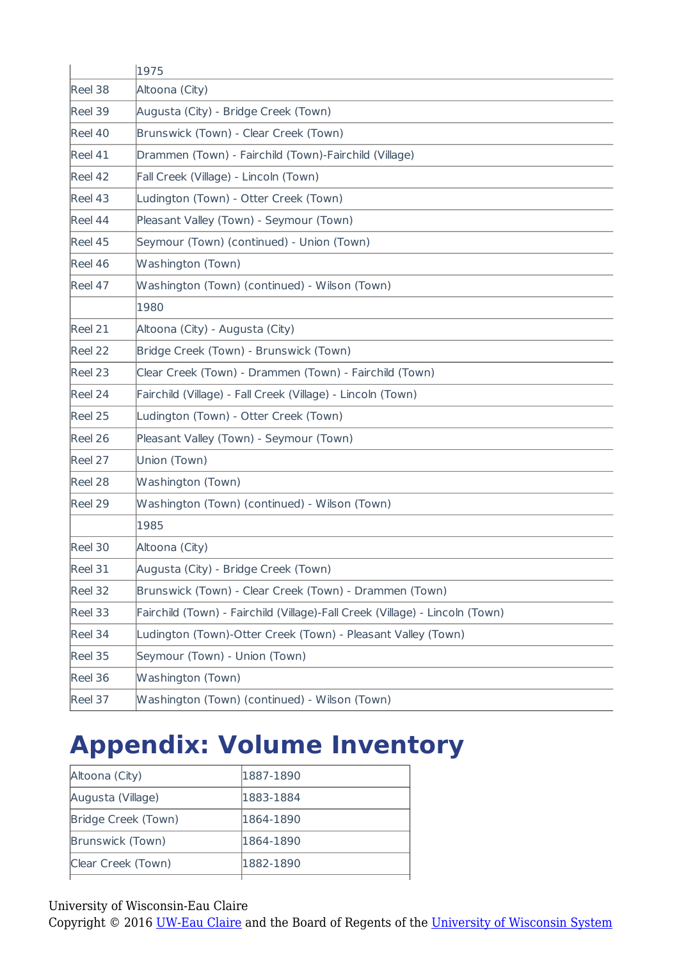|         | 1975                                                                         |  |  |
|---------|------------------------------------------------------------------------------|--|--|
| Reel 38 | Altoona (City)                                                               |  |  |
| Reel 39 | Augusta (City) - Bridge Creek (Town)                                         |  |  |
| Reel 40 | Brunswick (Town) - Clear Creek (Town)                                        |  |  |
| Reel 41 | Drammen (Town) - Fairchild (Town)-Fairchild (Village)                        |  |  |
| Reel 42 | Fall Creek (Village) - Lincoln (Town)                                        |  |  |
| Reel 43 | Ludington (Town) - Otter Creek (Town)                                        |  |  |
| Reel 44 | Pleasant Valley (Town) - Seymour (Town)                                      |  |  |
| Reel 45 | Seymour (Town) (continued) - Union (Town)                                    |  |  |
| Reel 46 | Washington (Town)                                                            |  |  |
| Reel 47 | Washington (Town) (continued) - Wilson (Town)                                |  |  |
|         | 1980                                                                         |  |  |
| Reel 21 | Altoona (City) - Augusta (City)                                              |  |  |
| Reel 22 | Bridge Creek (Town) - Brunswick (Town)                                       |  |  |
| Reel 23 | Clear Creek (Town) - Drammen (Town) - Fairchild (Town)                       |  |  |
| Reel 24 | Fairchild (Village) - Fall Creek (Village) - Lincoln (Town)                  |  |  |
| Reel 25 | Ludington (Town) - Otter Creek (Town)                                        |  |  |
| Reel 26 | Pleasant Valley (Town) - Seymour (Town)                                      |  |  |
| Reel 27 | Union (Town)                                                                 |  |  |
| Reel 28 | Washington (Town)                                                            |  |  |
| Reel 29 | Washington (Town) (continued) - Wilson (Town)                                |  |  |
|         | 1985                                                                         |  |  |
| Reel 30 | Altoona (City)                                                               |  |  |
| Reel 31 | Augusta (City) - Bridge Creek (Town)                                         |  |  |
| Reel 32 | Brunswick (Town) - Clear Creek (Town) - Drammen (Town)                       |  |  |
| Reel 33 | Fairchild (Town) - Fairchild (Village)-Fall Creek (Village) - Lincoln (Town) |  |  |
| Reel 34 | Ludington (Town)-Otter Creek (Town) - Pleasant Valley (Town)                 |  |  |
| Reel 35 | Seymour (Town) - Union (Town)                                                |  |  |
| Reel 36 | Washington (Town)                                                            |  |  |
| Reel 37 | Washington (Town) (continued) - Wilson (Town)                                |  |  |

## **Appendix: Volume Inventory**

| Altoona (City)      | 1887-1890 |
|---------------------|-----------|
| Augusta (Village)   | 1883-1884 |
| Bridge Creek (Town) | 1864-1890 |
| Brunswick (Town)    | 1864-1890 |
| Clear Creek (Town)  | 1882-1890 |
|                     |           |

University of Wisconsin-Eau Claire

Copyright © 2016 [UW-Eau Claire](http://www.uwec.edu) and the Board of Regents of the [University of Wisconsin System](http://www.uwsa.edu/)